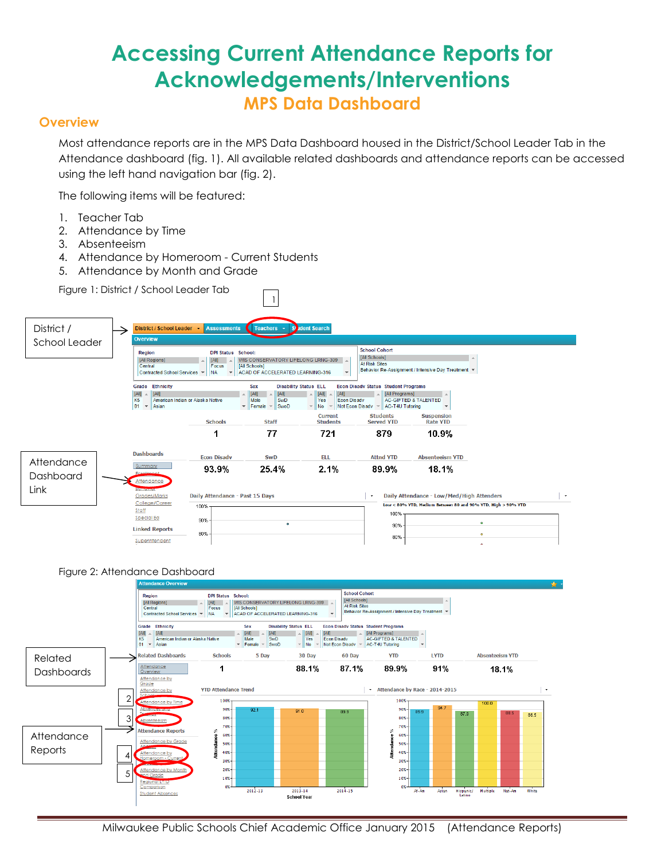# **Accessing Current Attendance Reports for Acknowledgements/Interventions MPS Data Dashboard**

## **Overview**

Most attendance reports are in the MPS Data Dashboard housed in the District/School Leader Tab in the Attendance dashboard (fig. 1). All available related dashboards and attendance reports can be accessed using the left hand navigation bar (fig. 2).

The following items will be featured:

- 1. Teacher Tab
- 2. Attendance by Time
- 3. Absenteeism
- 4. Attendance by Homeroom Current Students
- 5. Attendance by Month and Grade

Figure 1: District / School Leader Tab





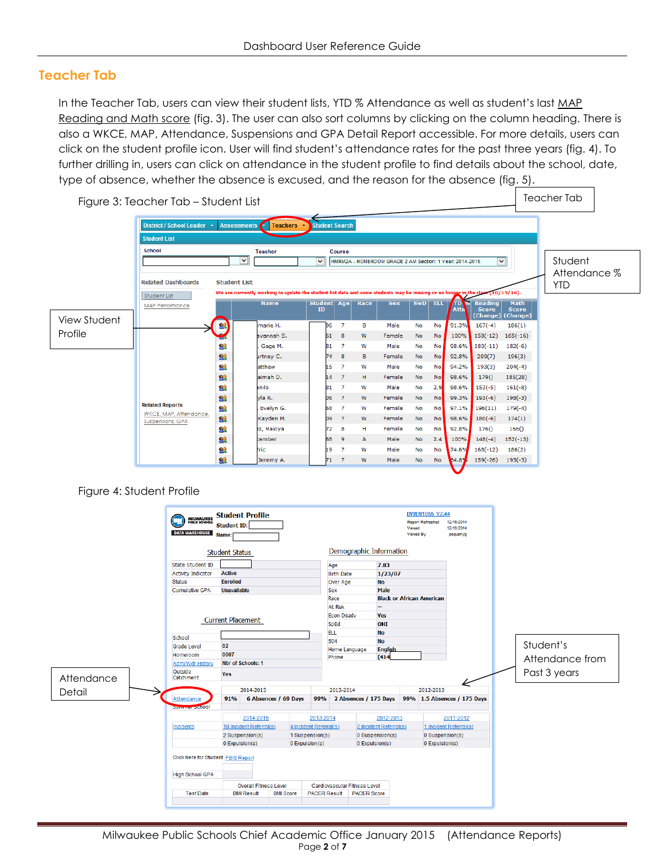## **Teacher Tab**

In the Teacher Tab, users can view their student lists, YTD % Attendance as well as student's last MAP Reading and Math score (fig. 3). The user can also sort columns by clicking on the column heading. There is also a WKCE, MAP, Attendance, Suspensions and GPA Detail Report accessible. For more details, users can click on the student profile icon. User will find student's attendance rates for the past three years (fig. 4). To further drilling in, users can click on attendance in the student profile to find details about the school, date, type of absence, whether the absence is excused, and the reason for the absence (fig. 5).



Figure 4: Student Profile

| <b>MILWAUKEE</b><br>PUBLIC SCHOOLS<br>G<br><b>DATA WAREHOUSE</b> | <b>Student Profile</b><br><b>Student ID:</b><br>Name: |                      |                        |                              |                         |           | <b>DWEN1055 V2.44</b><br><b>Report Refreshed</b><br>Viewed<br>Viewed By | 12/16/2014<br>12/16/2014<br>pequenyg              |                 |
|------------------------------------------------------------------|-------------------------------------------------------|----------------------|------------------------|------------------------------|-------------------------|-----------|-------------------------------------------------------------------------|---------------------------------------------------|-----------------|
|                                                                  | <b>Student Status</b>                                 |                      |                        |                              | Demographic Information |           |                                                                         |                                                   |                 |
| State Student ID                                                 |                                                       |                      |                        | Age                          | 7.83                    |           |                                                                         |                                                   |                 |
| <b>Activity Indicator</b>                                        | <b>Active</b>                                         |                      |                        | <b>Birth Date</b>            |                         | 1/23/07   |                                                                         |                                                   |                 |
| <b>Status</b>                                                    | <b>Enrolled</b>                                       |                      |                        | Over Age                     | <b>No</b>               |           |                                                                         |                                                   |                 |
| Cumulative GPA                                                   | <b>Unavailable</b>                                    |                      |                        | Sex                          | Male                    |           |                                                                         |                                                   |                 |
|                                                                  |                                                       |                      |                        | Race                         |                         |           | <b>Black or African American</b>                                        |                                                   |                 |
|                                                                  |                                                       |                      |                        | At Risk                      | ш.                      |           |                                                                         |                                                   |                 |
|                                                                  |                                                       |                      |                        | Econ Disadv                  | <b>Yes</b>              |           |                                                                         |                                                   |                 |
|                                                                  | <b>Current Placement</b>                              |                      | SpEd                   | OHI                          |                         |           |                                                                         |                                                   |                 |
|                                                                  |                                                       |                      |                        | <b>ELL</b><br><b>No</b>      |                         |           |                                                                         |                                                   |                 |
| School                                                           |                                                       |                      |                        | 504                          | <b>No</b>               |           |                                                                         |                                                   |                 |
| <b>Grade Level</b>                                               | 02                                                    |                      | Home Language          |                              | <b>English</b>          |           |                                                                         | Student's                                         |                 |
| Homeroom                                                         | 0007                                                  |                      |                        | Phone                        |                         | (414)     |                                                                         |                                                   | Attendance from |
| Adm/Wdr History                                                  | <b>Nbr of Schools: 1</b>                              |                      |                        |                              |                         |           |                                                                         |                                                   |                 |
| Outside<br>Attendance<br>Catchment                               | Yes                                                   |                      |                        |                              |                         |           |                                                                         |                                                   | Past 3 years    |
|                                                                  | 2014-2015                                             |                      |                        | 2013-2014                    |                         |           | 2012-2013                                                               |                                                   |                 |
| Detail<br>Attendance                                             | 91%                                                   | 6 Absences / 69 Days | 99%                    |                              |                         |           |                                                                         | 2 Absences / 175 Days 99% 1.5 Absences / 175 Days |                 |
| Dunman JCII00                                                    |                                                       |                      |                        |                              |                         |           |                                                                         |                                                   |                 |
|                                                                  | 2014-2015                                             |                      | 2013-2014              |                              |                         | 2012-2013 |                                                                         | 2011-2012                                         |                 |
| Incidents                                                        | 10 Incident Referral(s)                               |                      | 4 Incident Referral(s) |                              | 2 Incident Referral(s)  |           |                                                                         | 1 Incident Referral(s)                            |                 |
|                                                                  | 2 Suspension(s)                                       |                      | 1 Suspension(s)        |                              | 0 Suspension(s)         |           |                                                                         | 0 Suspension(s)                                   |                 |
|                                                                  | 0 Expulsion(s)                                        |                      | 0 Expulsion(s)         |                              | 0 Expulsion(s)          |           | 0 Expulsion(s)                                                          |                                                   |                 |
| Click here for Student PBIS Report<br><b>High School GPA</b>     |                                                       |                      |                        |                              |                         |           |                                                                         |                                                   |                 |
|                                                                  | <b>Overall Fitness Level</b>                          |                      |                        | Cardiovascular Fitness Level |                         |           |                                                                         |                                                   |                 |
| <b>Test Date</b>                                                 | <b>BMI Result</b>                                     | <b>BMI Score</b>     | <b>PACER Result</b>    |                              | <b>PACER Score</b>      |           |                                                                         |                                                   |                 |
|                                                                  |                                                       |                      |                        |                              |                         |           |                                                                         |                                                   |                 |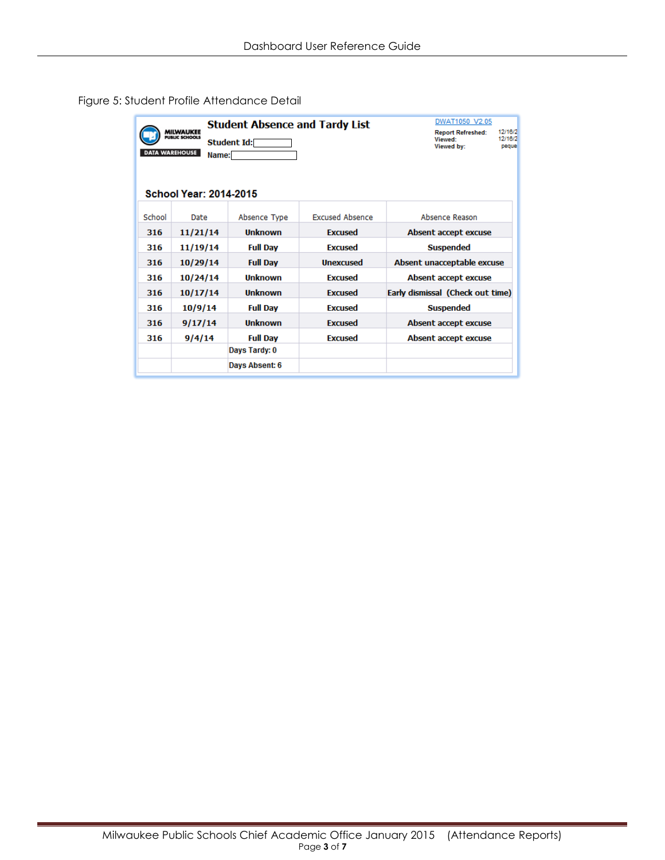|                               | <b>Student Absence and Tardy List</b>                                               | DWAT1050 V2.05                                                                   |                        |                                  |  |  |  |  |  |  |  |  |
|-------------------------------|-------------------------------------------------------------------------------------|----------------------------------------------------------------------------------|------------------------|----------------------------------|--|--|--|--|--|--|--|--|
|                               | <b>MILWAUKEE</b><br>PUBLIC SCHOOLS<br>Student Id:<br><b>DATA WAREHOUSE</b><br>Name: | 12/16/2<br><b>Report Refreshed:</b><br>12/16/2<br>Viewed:<br>Viewed by:<br>peque |                        |                                  |  |  |  |  |  |  |  |  |
| <b>School Year: 2014-2015</b> |                                                                                     |                                                                                  |                        |                                  |  |  |  |  |  |  |  |  |
| School                        | Date                                                                                | Absence Type                                                                     | <b>Excused Absence</b> | Absence Reason                   |  |  |  |  |  |  |  |  |
| 316                           | 11/21/14                                                                            | Unknown                                                                          | <b>Excused</b>         | Absent accept excuse             |  |  |  |  |  |  |  |  |
| 316                           | 11/19/14                                                                            | <b>Full Day</b>                                                                  | <b>Excused</b>         | <b>Suspended</b>                 |  |  |  |  |  |  |  |  |
| 316                           | 10/29/14                                                                            | <b>Full Day</b>                                                                  | <b>Unexcused</b>       | Absent unacceptable excuse       |  |  |  |  |  |  |  |  |
| 316                           | 10/24/14                                                                            | Unknown                                                                          | <b>Excused</b>         | Absent accept excuse             |  |  |  |  |  |  |  |  |
| 316                           | 10/17/14                                                                            | Unknown                                                                          | <b>Excused</b>         | Early dismissal (Check out time) |  |  |  |  |  |  |  |  |
| 316                           | 10/9/14                                                                             | <b>Full Day</b>                                                                  | <b>Excused</b>         | <b>Suspended</b>                 |  |  |  |  |  |  |  |  |
| 316                           | 9/17/14                                                                             | <b>Unknown</b>                                                                   | <b>Excused</b>         | Absent accept excuse             |  |  |  |  |  |  |  |  |
| 316                           | 9/4/14                                                                              | <b>Full Day</b>                                                                  | <b>Excused</b>         | Absent accept excuse             |  |  |  |  |  |  |  |  |
|                               |                                                                                     | Days Tardy: 0                                                                    |                        |                                  |  |  |  |  |  |  |  |  |
|                               |                                                                                     | Days Absent: 6                                                                   |                        |                                  |  |  |  |  |  |  |  |  |

## Figure 5: Student Profile Attendance Detail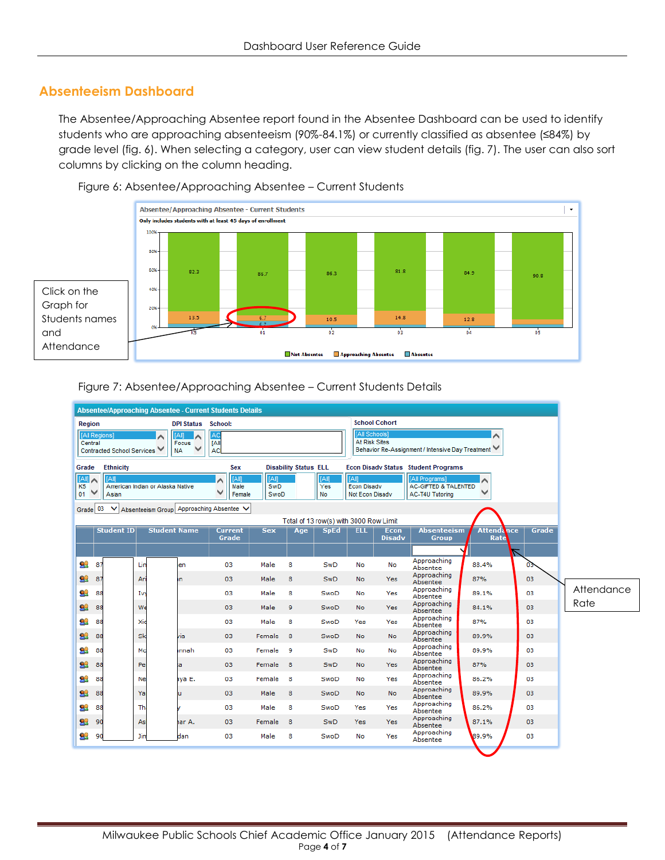## **Absenteeism Dashboard**

The Absentee/Approaching Absentee report found in the Absentee Dashboard can be used to identify students who are approaching absenteeism (90%-84.1%) or currently classified as absentee (≤84%) by grade level (fig. 6). When selecting a category, user can view student details (fig. 7). The user can also sort columns by clicking on the column heading.



Figure 6: Absentee/Approaching Absentee – Current Students

#### Figure 7: Absentee/Approaching Absentee – Current Students Details

|                                                           |                                                                |                            |     |                                  |        | <b>Absentee/Approaching Absentee - Current Students Details</b> |                          |                              |                                 |                                                      |                                                                                                  |                                                                      |                           |       |  |  |
|-----------------------------------------------------------|----------------------------------------------------------------|----------------------------|-----|----------------------------------|--------|-----------------------------------------------------------------|--------------------------|------------------------------|---------------------------------|------------------------------------------------------|--------------------------------------------------------------------------------------------------|----------------------------------------------------------------------|---------------------------|-------|--|--|
|                                                           | <b>School Cohort</b><br>Region<br><b>DPI Status</b><br>School: |                            |     |                                  |        |                                                                 |                          |                              |                                 |                                                      |                                                                                                  |                                                                      |                           |       |  |  |
|                                                           | [All Regions]<br>Central                                       | Contracted School Services |     | <b>AIN</b><br>Focus<br><b>NA</b> | ∧      | ۹C<br>[All<br>AC                                                |                          |                              |                                 |                                                      | <b>IAII Schools1</b><br><b>At Risk Sites</b><br>Behavior Re-Assignment / Intensive Day Treatment |                                                                      |                           |       |  |  |
|                                                           | Grade                                                          | <b>Ethnicity</b>           |     |                                  |        | Sex                                                             |                          | <b>Disability Status ELL</b> |                                 |                                                      | <b>Econ Disady Status Student Programs</b>                                                       |                                                                      |                           |       |  |  |
|                                                           | <b>TAIR</b><br>∧<br>K <sub>5</sub><br>01                       | <b>TAIR</b><br>Asian       |     | American Indian or Alaska Native |        | <b>TAIR</b><br>́<br>Male<br>◡<br>Female                         | IA<br><b>SwD</b><br>SwoD |                              | <b>TAIT</b><br>Yes<br><b>No</b> | <b>TAIR</b><br><b>Econ Disady</b><br>Not Econ Disadv |                                                                                                  | [All Programs]<br><b>AC-GIFTED &amp; TALENTED</b><br>AC-T4U Tutoring | ∧                         |       |  |  |
| Grade 03<br>Absenteeism Group Approaching Absentee V<br>◡ |                                                                |                            |     |                                  |        |                                                                 |                          |                              |                                 |                                                      |                                                                                                  |                                                                      |                           |       |  |  |
| Total of 13 row(s) with 3000 Row Limit                    |                                                                |                            |     |                                  |        |                                                                 |                          |                              |                                 |                                                      |                                                                                                  |                                                                      |                           |       |  |  |
|                                                           |                                                                | <b>Student ID</b>          |     | <b>Student Name</b>              |        | <b>Current</b><br>Grade                                         | <b>Sex</b>               | Age                          | <b>SpEd</b>                     | <b>ELL</b>                                           | Econ<br><b>Disadv</b>                                                                            | <b>Absenteeism</b><br><b>Group</b>                                   | <b>Attendance</b><br>Rate | Grade |  |  |
|                                                           |                                                                |                            |     |                                  |        |                                                                 |                          |                              |                                 |                                                      |                                                                                                  |                                                                      |                           | ≂     |  |  |
|                                                           | 92<br>87                                                       |                            | Lin | len                              |        | 03                                                              | Male                     | 8                            | SwD                             | No                                                   | No                                                                                               | Approaching<br>Absentee                                              | 88.4%                     | 03    |  |  |
|                                                           | 92<br>87                                                       |                            | Ari | n                                |        | 03                                                              | Male                     | 8                            | <b>SwD</b>                      | <b>No</b>                                            | <b>Yes</b>                                                                                       | Approaching<br>Absentee                                              | 87%                       | 03    |  |  |
|                                                           | 92<br>88                                                       |                            | Ivy |                                  |        | 03                                                              | Male                     | 8                            | SwoD                            | No                                                   | Yes                                                                                              | Approaching<br>Absentee                                              | 89.1%                     | 03    |  |  |
|                                                           | 92<br>88                                                       |                            | We  |                                  |        | 03                                                              | Male                     | 9                            | SwoD                            | <b>No</b>                                            | <b>Yes</b>                                                                                       | Approaching<br>Absentee                                              | 84.1%                     | 03    |  |  |
|                                                           | 92<br>88                                                       |                            | Xid |                                  |        | 03                                                              | Male                     | 8                            | SwoD                            | Yes                                                  | Yes                                                                                              | Approaching<br>Absentee                                              | 87%                       | 03    |  |  |
|                                                           | 92<br>88                                                       |                            | Sk  | via                              |        | 03                                                              | Female                   | - 8                          | SwoD                            | <b>No</b>                                            | <b>No</b>                                                                                        | Approaching<br>Absentee                                              | 89.9%                     | 03    |  |  |
|                                                           | 92<br>88                                                       |                            | Mc  |                                  | nnah   | 03                                                              | Female                   | -9                           | SwD                             | No                                                   | No                                                                                               | Approaching<br>Absentee                                              | 89.9%                     | 03    |  |  |
|                                                           | 92<br>88                                                       |                            | Per | а                                |        | 03                                                              | Female                   | - 8                          | SwD                             | <b>No</b>                                            | <b>Yes</b>                                                                                       | Approaching<br>Absentee                                              | 87%                       | 03    |  |  |
|                                                           | 92<br>88                                                       |                            | Nel |                                  | iva E. | 03                                                              | Female                   | 8                            | SwoD                            | <b>No</b>                                            | Yes                                                                                              | Approaching<br>Absentee                                              | 86.2%                     | 03    |  |  |
|                                                           | 92<br>88                                                       |                            | Yar | п                                |        | 03                                                              | Male                     | 8                            | SwoD                            | <b>No</b>                                            | <b>No</b>                                                                                        | Approaching<br>Absentee                                              | 89.9%                     | 03    |  |  |
|                                                           | 92<br>88                                                       |                            | Thi |                                  |        | 03                                                              | Male                     | 8                            | SwoD                            | Yes                                                  | Yes                                                                                              | Approaching<br>Absentee                                              | 86.2%                     | 03    |  |  |
|                                                           | 92<br>90                                                       |                            | Asl |                                  | lar A. | 03                                                              | Female                   | 8                            | <b>SwD</b>                      | <b>Yes</b>                                           | <b>Yes</b>                                                                                       | Approaching<br>Absentee                                              | 87.1%                     | 03    |  |  |
|                                                           | 92<br>90                                                       |                            | Jim | dan                              |        | 03                                                              | Male                     | 8                            | SwoD                            | No                                                   | Yes                                                                                              | Approaching<br>Absentee                                              | 89.9%                     | 03    |  |  |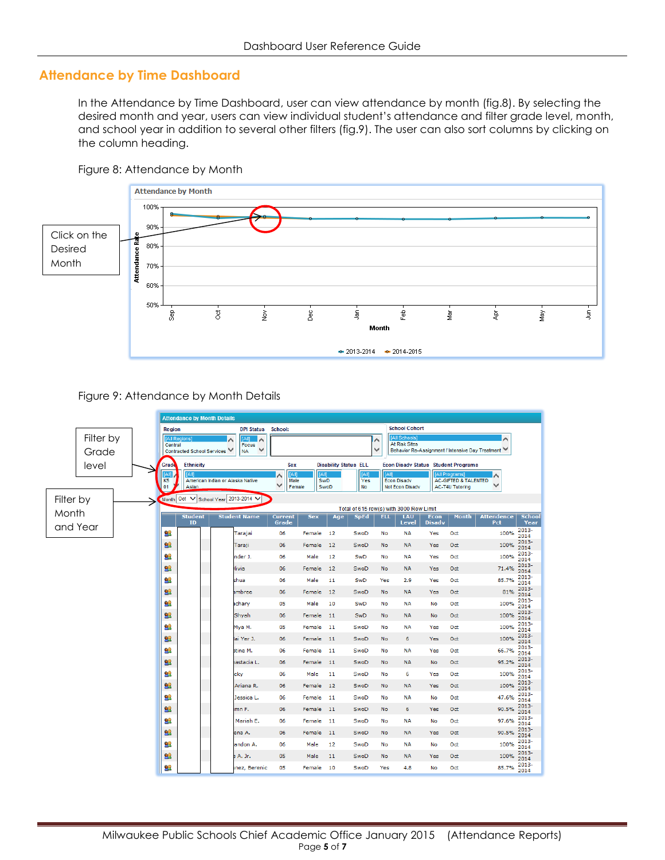## **Attendance by Time Dashboard**

In the Attendance by Time Dashboard, user can view attendance by month (fig.8). By selecting the desired month and year, users can view individual student's attendance and filter grade level, month, and school year in addition to several other filters (fig.9). The user can also sort columns by clicking on the column heading.



Figure 8: Attendance by Month

#### Figure 9: Attendance by Month Details

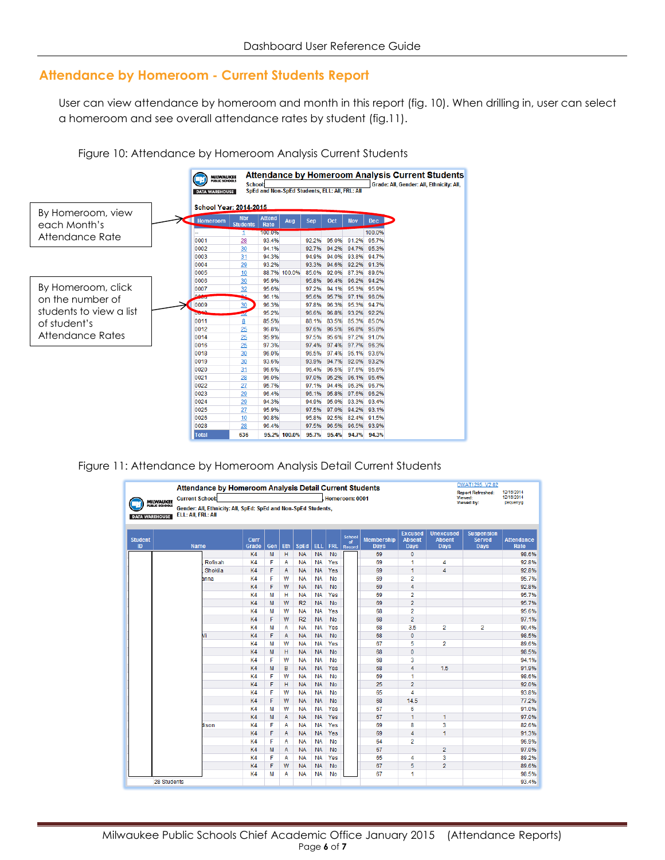# **Attendance by Homeroom - Current Students Report**

User can view attendance by homeroom and month in this report (fig. 10). When drilling in, user can select a homeroom and see overall attendance rates by student (fig.11).



Figure 10: Attendance by Homeroom Analysis Current Students

#### Figure 11: Attendance by Homeroom Analysis Detail Current Students

|                                                             | Attendance by Homeroom Analysis Detail Current Students<br><b>Current School:</b>                                     |                | DWAT1295 V2.02<br><b>Report Refreshed:</b><br>Viewed: | 12/16/2014<br>12/16/2014 |                |            |            |                                      |                                  |                                         |                                                  |                                            |                                  |  |
|-------------------------------------------------------------|-----------------------------------------------------------------------------------------------------------------------|----------------|-------------------------------------------------------|--------------------------|----------------|------------|------------|--------------------------------------|----------------------------------|-----------------------------------------|--------------------------------------------------|--------------------------------------------|----------------------------------|--|
| <b>MILWAUKEE</b><br>PUBLIC SCHOOLS<br><b>DATA WAREHOUSE</b> | <b>Viewed by:</b><br>pequenyg<br>Gender: All. Ethnicity: All. SpEd: SpEd and Non-SpEd Students.<br>ELL: All, FRL: All |                |                                                       |                          |                |            |            |                                      |                                  |                                         |                                                  |                                            |                                  |  |
| <b>Student</b><br>ID                                        | <b>Name</b>                                                                                                           | Curr<br>Grade  | Gen                                                   | <b>Eth</b>               | <b>SpEd</b>    | <b>ELL</b> | <b>FRL</b> | <b>School</b><br>of<br><b>Record</b> | <b>Membership</b><br><b>Days</b> | <b>Excused</b><br><b>Absent</b><br>Days | <b>Unexcused</b><br><b>Absent</b><br><b>Days</b> | <b>Suspension</b><br><b>Served</b><br>Days | <b>Attendance</b><br><b>Rate</b> |  |
|                                                             |                                                                                                                       | K <sub>4</sub> | M                                                     | н                        | <b>NA</b>      | <b>NA</b>  | <b>No</b>  |                                      | 69                               | $\Omega$                                |                                                  |                                            | 98.6%                            |  |
|                                                             | Rofisah                                                                                                               | K <sub>4</sub> | F                                                     | A                        | <b>NA</b>      | <b>NA</b>  | Yes        |                                      | 69                               | 1                                       | 4                                                |                                            | 92.8%                            |  |
|                                                             | Shokila                                                                                                               | K <sub>4</sub> | F                                                     | A                        | <b>NA</b>      | <b>NA</b>  | Yes        |                                      | 69                               | 1                                       | 4                                                |                                            | 92.8%                            |  |
|                                                             | anna                                                                                                                  | K4             | F                                                     | W                        | <b>NA</b>      | <b>NA</b>  | No         |                                      | 69                               | $\overline{2}$                          |                                                  |                                            | 95.7%                            |  |
|                                                             |                                                                                                                       | K4             | F                                                     | W                        | <b>NA</b>      | <b>NA</b>  | No         |                                      | 69                               | 4                                       |                                                  |                                            | 92.8%                            |  |
|                                                             |                                                                                                                       | K4             | M                                                     | н                        | <b>NA</b>      | <b>NA</b>  | Yes        |                                      | 69                               | $\overline{2}$                          |                                                  |                                            | 95.7%                            |  |
|                                                             |                                                                                                                       | K <sub>4</sub> | M                                                     | w                        | R2             | <b>NA</b>  | No         |                                      | 69                               | $\overline{2}$                          |                                                  |                                            | 95.7%                            |  |
|                                                             |                                                                                                                       | K4             | М                                                     | w                        | <b>NA</b>      | <b>NA</b>  | Yes        |                                      | 68                               | $\overline{2}$                          |                                                  |                                            | 95.6%                            |  |
|                                                             |                                                                                                                       | K <sub>4</sub> | F                                                     | w                        | R <sub>2</sub> | <b>NA</b>  | No         |                                      | 68                               | $\overline{2}$                          |                                                  |                                            | 97.1%                            |  |
|                                                             |                                                                                                                       | K4             | M                                                     | A                        | <b>NA</b>      | <b>NA</b>  | Yes        |                                      | 68                               | 3.5                                     | $\overline{2}$                                   | $\overline{2}$                             | 90.4%                            |  |
|                                                             | Vi                                                                                                                    | K <sub>4</sub> | F                                                     | A                        | <b>NA</b>      | <b>NA</b>  | No         |                                      | 68                               | $\mathbf 0$                             |                                                  |                                            | 98.5%                            |  |
|                                                             |                                                                                                                       | K <sub>4</sub> | M                                                     | w                        | <b>NA</b>      | <b>NA</b>  | Yes        |                                      | 67                               | 5                                       | $\overline{2}$                                   |                                            | 89.6%                            |  |
|                                                             |                                                                                                                       | K4             | M                                                     | H                        | <b>NA</b>      | <b>NA</b>  | No         |                                      | 68                               | $\overline{0}$                          |                                                  |                                            | 98.5%                            |  |
|                                                             |                                                                                                                       | K4             | F                                                     | W                        | <b>NA</b>      | <b>NA</b>  | No         |                                      | 68                               | 3                                       |                                                  |                                            | 94.1%                            |  |
|                                                             |                                                                                                                       | K4             | M                                                     | B                        | <b>NA</b>      | <b>NA</b>  | Yes        |                                      | 68                               | 4                                       | 1.5                                              |                                            | 91.9%                            |  |
|                                                             |                                                                                                                       | K4             | F                                                     | W                        | <b>NA</b>      | <b>NA</b>  | No         |                                      | 69                               | 1                                       |                                                  |                                            | 98.6%                            |  |
|                                                             |                                                                                                                       | K4             | F                                                     | н                        | <b>NA</b>      | <b>NA</b>  | No         |                                      | 25                               | $\overline{2}$                          |                                                  |                                            | 92.0%                            |  |
|                                                             |                                                                                                                       | K <sub>4</sub> | F                                                     | W                        | <b>NA</b>      | <b>NA</b>  | No         |                                      | 65                               | 4                                       |                                                  |                                            | 93.8%                            |  |
|                                                             |                                                                                                                       | K4             | F                                                     | W                        | <b>NA</b>      | <b>NA</b>  | No         |                                      | 68                               | 14.5                                    |                                                  |                                            | 77.2%                            |  |
|                                                             |                                                                                                                       | K4             | М                                                     | W                        | <b>NA</b>      | <b>NA</b>  | Yes        |                                      | 67                               | 6                                       |                                                  |                                            | 91.0%                            |  |
|                                                             |                                                                                                                       | K4             | M                                                     | A                        | <b>NA</b>      | <b>NA</b>  | Yes        |                                      | 67                               | 1                                       | 1                                                |                                            | 97.0%                            |  |
|                                                             | lison                                                                                                                 | K4             | F                                                     | A                        | <b>NA</b>      | <b>NA</b>  | Yes        |                                      | 69                               | 8                                       | 3                                                |                                            | 82.6%                            |  |
|                                                             |                                                                                                                       | K4             | F                                                     | A                        | <b>NA</b>      | <b>NA</b>  | Yes        |                                      | 69                               | 4                                       | 1                                                |                                            | 91.3%                            |  |
|                                                             |                                                                                                                       | K4             | F                                                     | A                        | <b>NA</b>      | <b>NA</b>  | No         |                                      | 64                               | $\overline{2}$                          |                                                  |                                            | 96.9%                            |  |
|                                                             |                                                                                                                       | K4             | M                                                     | A                        | <b>NA</b>      | <b>NA</b>  | No         |                                      | 67                               |                                         | $\overline{2}$                                   |                                            | 97.0%                            |  |
|                                                             |                                                                                                                       | K4             | F                                                     | A                        | <b>NA</b>      | <b>NA</b>  | Yes        |                                      | 65                               | 4                                       | 3                                                |                                            | 89.2%                            |  |
|                                                             |                                                                                                                       | K4             | F                                                     | W                        | <b>NA</b>      | <b>NA</b>  | No         |                                      | 67                               | 5                                       | $\overline{2}$                                   |                                            | 89.6%                            |  |
|                                                             |                                                                                                                       | K4             | M                                                     | A                        | NA             | <b>NA</b>  | No         |                                      | 67                               | 1                                       |                                                  |                                            | 98.5%                            |  |
| 28 Students                                                 |                                                                                                                       |                |                                                       |                          |                |            |            |                                      |                                  |                                         |                                                  |                                            | 93.4%                            |  |